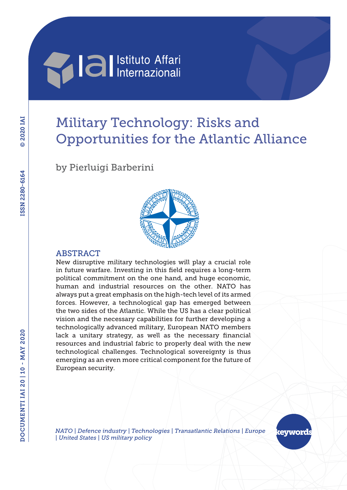

# Military Technology: Risks and Opportunities for the Atlantic Alliance

by Pierluigi Barberini



#### ABSTRACT

New disruptive military technologies will play a crucial role in future warfare. Investing in this field requires a long-term political commitment on the one hand, and huge economic, human and industrial resources on the other. NATO has always put a great emphasis on the high-tech level of its armed forces. However, a technological gap has emerged between the two sides of the Atlantic. While the US has a clear political vision and the necessary capabilities for further developing a technologically advanced military, European NATO members lack a unitary strategy, as well as the necessary financial resources and industrial fabric to properly deal with the new technological challenges. Technological sovereignty is thus emerging as an even more critical component for the future of European security.

*NATO | Defence industry | Technologies | Transatlantic Relations | Europe | United States | US military policy*

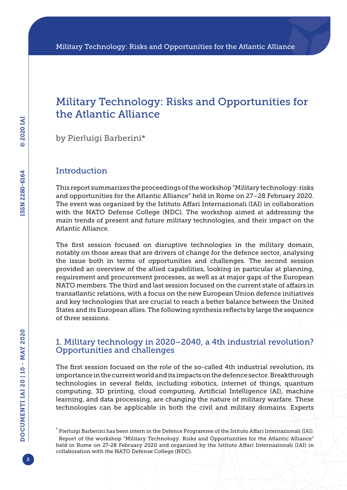### Military Technology: Risks and Opportunities for the Atlantic Alliance

by Pierluigi Barberini\*

### **Introduction**

This report summarizes the proceedings of the workshop "Military technology: risks and opportunities for the Atlantic Alliance" held in Rome on 27–28 February 2020. The event was organized by the Istituto Affari Internazionali (IAI) in collaboration with the NATO Defense College (NDC). The workshop aimed at addressing the main trends of present and future military technologies, and their impact on the Atlantic Alliance.

The first session focused on disruptive technologies in the military domain, notably on those areas that are drivers of change for the defence sector, analysing the issue both in terms of opportunities and challenges. The second session provided an overview of the allied capabilities, looking in particular at planning, requirement and procurement processes, as well as at major gaps of the European NATO members. The third and last session focused on the current state of affairs in transatlantic relations, with a focus on the new European Union defence initiatives and key technologies that are crucial to reach a better balance between the United States and its European allies. The following synthesis reflects by large the sequence of three sessions.

### 1. Military technology in 2020–2040, a 4th industrial revolution? Opportunities and challenges

The first session focused on the role of the so-called 4th industrial revolution, its importance in the current world and its impacts on the defence sector. Breakthrough technologies in several fields, including robotics, internet of things, quantum computing, 3D printing, cloud computing, Artificial Intelligence (AI), machine learning, and data processing, are changing the nature of military warfare. These technologies can be applicable in both the civil and military domains. Experts

. Report of the workshop "Military Technology: Risks and Opportunities for the Atlantic Alliance" held in Rome on 27-28 February 2020 and organized by the Istituto Affari Internazionali (IAI) in collaboration with the NATO Defense College (NDC).

<sup>\*</sup> Pierluigi Barberini has been intern in the Defence Programme of the Istituto Affari Internazionali (IAI).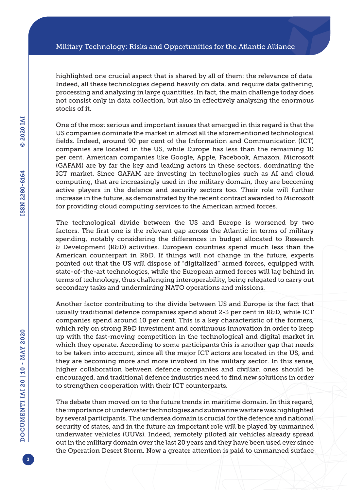highlighted one crucial aspect that is shared by all of them: the relevance of data. Indeed, all these technologies depend heavily on data, and require data gathering, processing and analysing in large quantities. In fact, the main challenge today does not consist only in data collection, but also in effectively analysing the enormous stocks of it.

One of the most serious and important issues that emerged in this regard is that the US companies dominate the market in almost all the aforementioned technological fields. Indeed, around 90 per cent of the Information and Communication (ICT) companies are located in the US, while Europe has less than the remaining 10 per cent. American companies like Google, Apple, Facebook, Amazon, Microsoft (GAFAM) are by far the key and leading actors in these sectors, dominating the ICT market. Since GAFAM are investing in technologies such as AI and cloud computing, that are increasingly used in the military domain, they are becoming active players in the defence and security sectors too. Their role will further increase in the future, as demonstrated by the recent contract awarded to Microsoft for providing cloud computing services to the American armed forces.

The technological divide between the US and Europe is worsened by two factors. The first one is the relevant gap across the Atlantic in terms of military spending, notably considering the differences in budget allocated to Research & Development (R&D) activities. European countries spend much less than the American counterpart in R&D. If things will not change in the future, experts pointed out that the US will dispose of "digitalized" armed forces, equipped with state-of-the-art technologies, while the European armed forces will lag behind in terms of technology, thus challenging interoperability, being relegated to carry out secondary tasks and undermining NATO operations and missions.

Another factor contributing to the divide between US and Europe is the fact that usually traditional defence companies spend about 2-3 per cent in R&D, while ICT companies spend around 10 per cent. This is a key characteristic of the formers, which rely on strong R&D investment and continuous innovation in order to keep up with the fast-moving competition in the technological and digital market in which they operate. According to some participants this is another gap that needs to be taken into account, since all the major ICT actors are located in the US, and they are becoming more and more involved in the military sector. In this sense, higher collaboration between defence companies and civilian ones should be encouraged, and traditional defence industries need to find new solutions in order to strengthen cooperation with their ICT counterparts.

The debate then moved on to the future trends in maritime domain. In this regard, the importance of underwater technologies and submarine warfare was highlighted by several participants. The undersea domain is crucial for the defence and national security of states, and in the future an important role will be played by unmanned underwater vehicles (UUVs). Indeed, remotely piloted air vehicles already spread out in the military domain over the last 20 years and they have been used ever since the Operation Desert Storm. Now a greater attention is paid to unmanned surface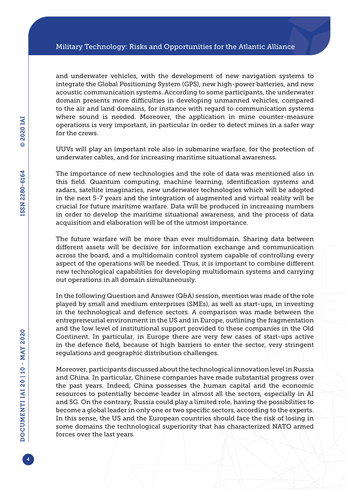and underwater vehicles, with the development of new navigation systems to integrate the Global Positioning System (GPS), new high-power batteries, and new acoustic communication systems. According to some participants, the underwater domain presents more difficulties in developing unmanned vehicles, compared to the air and land domains, for instance with regard to communication systems where sound is needed. Moreover, the application in mine counter-measure operations is very important, in particular in order to detect mines in a safer way for the crews.

UUVs will play an important role also in submarine warfare, for the protection of underwater cables, and for increasing maritime situational awareness.

The importance of new technologies and the role of data was mentioned also in this field. Quantum computing, machine learning, identification systems and radars, satellite imaginaries, new underwater technologies which will be adopted in the next 5-7 years and the integration of augmented and virtual reality will be crucial for future maritime warfare. Data will be produced in increasing numbers in order to develop the maritime situational awareness, and the process of data acquisition and elaboration will be of the utmost importance.

The future warfare will be more than ever multidomain. Sharing data between different assets will be decisive for information exchange and communication across the board, and a multidomain control system capable of controlling every aspect of the operations will be needed. Thus, it is important to combine different new technological capabilities for developing multidomain systems and carrying out operations in all domain simultaneously.

In the following Question and Answer (Q&A) session, mention was made of the role played by small and medium enterprises (SMEs), as well as start-ups, in investing in the technological and defence sectors. A comparison was made between the entrepreneurial environment in the US and in Europe, outlining the fragmentation and the low level of institutional support provided to these companies in the Old Continent. In particular, in Europe there are very few cases of start-ups active in the defence field, because of high barriers to enter the sector, very stringent regulations and geographic distribution challenges.

Moreover, participants discussed about the technological innovation level in Russia and China. In particular, Chinese companies have made substantial progress over the past years. Indeed, China possesses the human capital and the economic resources to potentially become leader in almost all the sectors, especially in AI and 5G. On the contrary, Russia could play a limited role, having the possibilities to become a global leader in only one or two specific sectors, according to the experts. In this sense, the US and the European countries should face the risk of losing in some domains the technological superiority that has characterized NATO armed forces over the last years.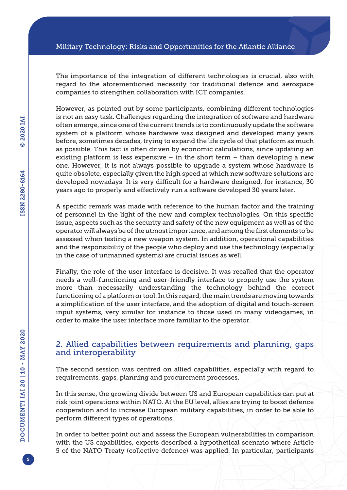The importance of the integration of different technologies is crucial, also with regard to the aforementioned necessity for traditional defence and aerospace companies to strengthen collaboration with ICT companies.

However, as pointed out by some participants, combining different technologies is not an easy task. Challenges regarding the integration of software and hardware often emerge, since one of the current trends is to continuously update the software system of a platform whose hardware was designed and developed many years before, sometimes decades, trying to expand the life cycle of that platform as much as possible. This fact is often driven by economic calculations, since updating an existing platform is less expensive  $-$  in the short term  $-$  than developing a new one. However, it is not always possible to upgrade a system whose hardware is quite obsolete, especially given the high speed at which new software solutions are developed nowadays. It is very difficult for a hardware designed, for instance, 30 years ago to properly and effectively run a software developed 30 years later.

A specific remark was made with reference to the human factor and the training of personnel in the light of the new and complex technologies. On this specific issue, aspects such as the security and safety of the new equipment as well as of the operator will always be of the utmost importance, and among the first elements to be assessed when testing a new weapon system. In addition, operational capabilities and the responsibility of the people who deploy and use the technology (especially in the case of unmanned systems) are crucial issues as well.

Finally, the role of the user interface is decisive. It was recalled that the operator needs a well-functioning and user-friendly interface to properly use the system more than necessarily understanding the technology behind the correct functioning of a platform or tool. In this regard, the main trends are moving towards a simplification of the user interface, and the adoption of digital and touch-screen input systems, very similar for instance to those used in many videogames, in order to make the user interface more familiar to the operator.

#### 2. Allied capabilities between requirements and planning, gaps and interoperability

The second session was centred on allied capabilities, especially with regard to requirements, gaps, planning and procurement processes.

In this sense, the growing divide between US and European capabilities can put at risk joint operations within NATO. At the EU level, allies are trying to boost defence cooperation and to increase European military capabilities, in order to be able to perform different types of operations.

In order to better point out and assess the European vulnerabilities in comparison with the US capabilities, experts described a hypothetical scenario where Article 5 of the NATO Treaty (collective defence) was applied. In particular, participants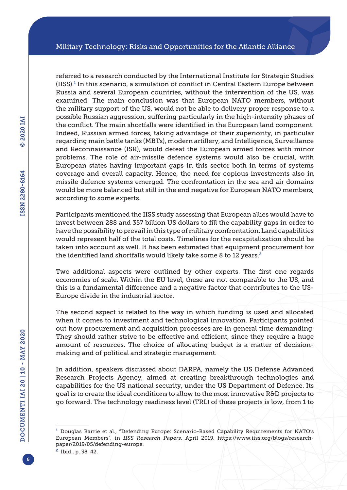referred to a research conducted by the International Institute for Strategic Studies (IISS).<sup>1</sup> In this scenario, a simulation of conflict in Central Eastern Europe between Russia and several European countries, without the intervention of the US, was examined. The main conclusion was that European NATO members, without the military support of the US, would not be able to delivery proper response to a possible Russian aggression, suffering particularly in the high-intensity phases of the conflict. The main shortfalls were identified in the European land component. Indeed, Russian armed forces, taking advantage of their superiority, in particular regarding main battle tanks (MBTs), modern artillery, and Intelligence, Surveillance and Reconnaissance (ISR), would defeat the European armed forces with minor problems. The role of air-missile defence systems would also be crucial, with European states having important gaps in this sector both in terms of systems coverage and overall capacity. Hence, the need for copious investments also in missile defence systems emerged. The confrontation in the sea and air domains would be more balanced but still in the end negative for European NATO members, according to some experts.

Participants mentioned the IISS study assessing that European allies would have to invest between 288 and 357 billion US dollars to fill the capability gaps in order to have the possibility to prevail in this type of military confrontation. Land capabilities would represent half of the total costs. Timelines for the recapitalization should be taken into account as well. It has been estimated that equipment procurement for the identified land shortfalls would likely take some 8 to 12 years.<sup>2</sup>

Two additional aspects were outlined by other experts. The first one regards economies of scale. Within the EU level, these are not comparable to the US, and this is a fundamental difference and a negative factor that contributes to the US-Europe divide in the industrial sector.

The second aspect is related to the way in which funding is used and allocated when it comes to investment and technological innovation. Participants pointed out how procurement and acquisition processes are in general time demanding. They should rather strive to be effective and efficient, since they require a huge amount of resources. The choice of allocating budget is a matter of decisionmaking and of political and strategic management.

In addition, speakers discussed about DARPA, namely the US Defense Advanced Research Projects Agency, aimed at creating breakthrough technologies and capabilities for the US national security, under the US Department of Defence. Its goal is to create the ideal conditions to allow to the most innovative R&D projects to go forward. The technology readiness level (TRL) of these projects is low, from 1 to

<sup>&</sup>lt;sup>1</sup> Douglas Barrie et al., "Defending Europe: Scenario-Based Capability Requirements for NATO's European Members", in *IISS Research Papers*, April 2019, [https://www.iiss.org/blogs/research](https://www.iiss.org/blogs/research-paper/2019/05/defending-europe)[paper/2019/05/defending-europe](https://www.iiss.org/blogs/research-paper/2019/05/defending-europe).

<sup>2</sup> Ibid., p. 38, 42.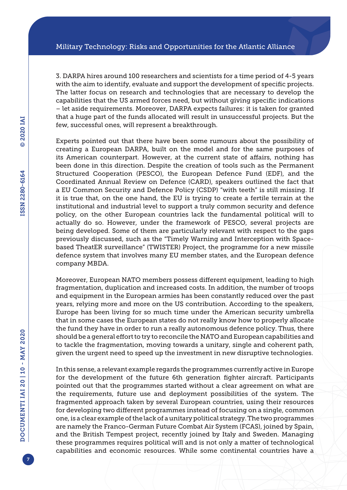3. DARPA hires around 100 researchers and scientists for a time period of 4-5 years with the aim to identify, evaluate and support the development of specific projects. The latter focus on research and technologies that are necessary to develop the capabilities that the US armed forces need, but without giving specific indications – let aside requirements. Moreover, DARPA expects failures: it is taken for granted that a huge part of the funds allocated will result in unsuccessful projects. But the few, successful ones, will represent a breakthrough.

Experts pointed out that there have been some rumours about the possibility of creating a European DARPA, built on the model and for the same purposes of its American counterpart. However, at the current state of affairs, nothing has been done in this direction. Despite the creation of tools such as the Permanent Structured Cooperation (PESCO), the European Defence Fund (EDF), and the Coordinated Annual Review on Defence (CARD), speakers outlined the fact that a EU Common Security and Defence Policy (CSDP) "with teeth" is still missing. If it is true that, on the one hand, the EU is trying to create a fertile terrain at the institutional and industrial level to support a truly common security and defence policy, on the other European countries lack the fundamental political will to actually do so. However, under the framework of PESCO, several projects are being developed. Some of them are particularly relevant with respect to the gaps previously discussed, such as the "Timely Warning and Interception with Spacebased TheatER surveillance" (TWISTER) Project, the programme for a new missile defence system that involves many EU member states, and the European defence company MBDA.

Moreover, European NATO members possess different equipment, leading to high fragmentation, duplication and increased costs. In addition, the number of troops and equipment in the European armies has been constantly reduced over the past years, relying more and more on the US contribution. According to the speakers, Europe has been living for so much time under the American security umbrella that in some cases the European states do not really know how to properly allocate the fund they have in order to run a really autonomous defence policy. Thus, there should be a general effort to try to reconcile the NATO and European capabilities and to tackle the fragmentation, moving towards a unitary, single and coherent path, given the urgent need to speed up the investment in new disruptive technologies.

In this sense, a relevant example regards the programmes currently active in Europe for the development of the future 6th generation fighter aircraft. Participants pointed out that the programmes started without a clear agreement on what are the requirements, future use and deployment possibilities of the system. The fragmented approach taken by several European countries, using their resources for developing two different programmes instead of focusing on a single, common one, is a clear example of the lack of a unitary political strategy. The two programmes are namely the Franco-German Future Combat Air System (FCAS), joined by Spain, and the British Tempest project, recently joined by Italy and Sweden. Managing these programmes requires political will and is not only a matter of technological capabilities and economic resources. While some continental countries have a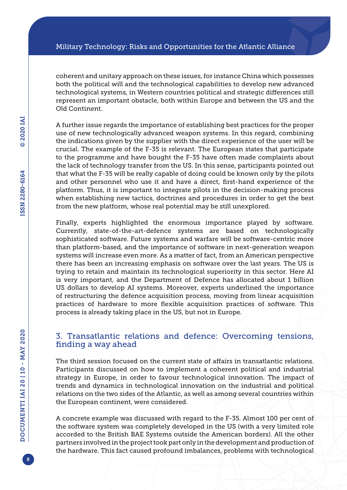coherent and unitary approach on these issues, for instance China which possesses both the political will and the technological capabilities to develop new advanced technological systems, in Western countries political and strategic differences still represent an important obstacle, both within Europe and between the US and the Old Continent.

A further issue regards the importance of establishing best practices for the proper use of new technologically advanced weapon systems. In this regard, combining the indications given by the supplier with the direct experience of the user will be crucial. The example of the F-35 is relevant. The European states that participate to the programme and have bought the F-35 have often made complaints about the lack of technology transfer from the US. In this sense, participants pointed out that what the F-35 will be really capable of doing could be known only by the pilots and other personnel who use it and have a direct, first-hand experience of the platform. Thus, it is important to integrate pilots in the decision-making process when establishing new tactics, doctrines and procedures in order to get the best from the new platform, whose real potential may be still unexplored.

Finally, experts highlighted the enormous importance played by software. Currently, state-of-the-art-defence systems are based on technologically sophisticated software. Future systems and warfare will be software-centric more than platform-based, and the importance of software in next-generation weapon systems will increase even more. As a matter of fact, from an American perspective there has been an increasing emphasis on software over the last years. The US is trying to retain and maintain its technological superiority in this sector. Here AI is very important, and the Department of Defence has allocated about 1 billion US dollars to develop AI systems. Moreover, experts underlined the importance of restructuring the defence acquisition process, moving from linear acquisition practices of hardware to more flexible acquisition practices of software. This process is already taking place in the US, but not in Europe.

#### 3. Transatlantic relations and defence: Overcoming tensions, finding a way ahead

The third session focused on the current state of affairs in transatlantic relations. Participants discussed on how to implement a coherent political and industrial strategy in Europe, in order to favour technological innovation. The impact of trends and dynamics in technological innovation on the industrial and political relations on the two sides of the Atlantic, as well as among several countries within the European continent, were considered.

A concrete example was discussed with regard to the F-35. Almost 100 per cent of the software system was completely developed in the US (with a very limited role accorded to the British BAE Systems outside the American borders). All the other partners involved in the project took part only in the development and production of the hardware. This fact caused profound imbalances, problems with technological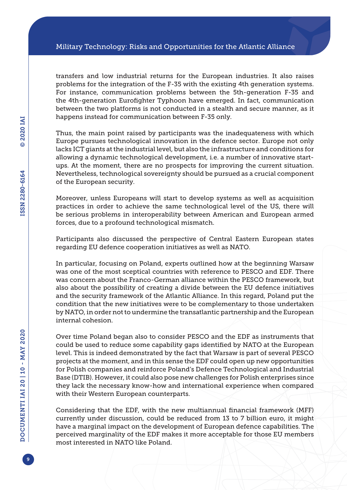transfers and low industrial returns for the European industries. It also raises problems for the integration of the F-35 with the existing 4th generation systems. For instance, communication problems between the 5th-generation F-35 and the 4th-generation Eurofighter Typhoon have emerged. In fact, communication between the two platforms is not conducted in a stealth and secure manner, as it happens instead for communication between F-35 only.

Thus, the main point raised by participants was the inadequateness with which Europe pursues technological innovation in the defence sector. Europe not only lacks ICT giants at the industrial level, but also the infrastructure and conditions for allowing a dynamic technological development, i.e. a number of innovative startups. At the moment, there are no prospects for improving the current situation. Nevertheless, technological sovereignty should be pursued as a crucial component of the European security.

Moreover, unless Europeans will start to develop systems as well as acquisition practices in order to achieve the same technological level of the US, there will be serious problems in interoperability between American and European armed forces, due to a profound technological mismatch.

Participants also discussed the perspective of Central Eastern European states regarding EU defence cooperation initiatives as well as NATO.

In particular, focusing on Poland, experts outlined how at the beginning Warsaw was one of the most sceptical countries with reference to PESCO and EDF. There was concern about the Franco-German alliance within the PESCO framework, but also about the possibility of creating a divide between the EU defence initiatives and the security framework of the Atlantic Alliance. In this regard, Poland put the condition that the new initiatives were to be complementary to those undertaken by NATO, in order not to undermine the transatlantic partnership and the European internal cohesion.

Over time Poland began also to consider PESCO and the EDF as instruments that could be used to reduce some capability gaps identified by NATO at the European level. This is indeed demonstrated by the fact that Warsaw is part of several PESCO projects at the moment, and in this sense the EDF could open up new opportunities for Polish companies and reinforce Poland's Defence Technological and Industrial Base (DTIB). However, it could also pose new challenges for Polish enterprises since they lack the necessary know-how and international experience when compared with their Western European counterparts.

Considering that the EDF, with the new multiannual financial framework (MFF) currently under discussion, could be reduced from 13 to 7 billion euro, it might have a marginal impact on the development of European defence capabilities. The perceived marginality of the EDF makes it more acceptable for those EU members most interested in NATO like Poland.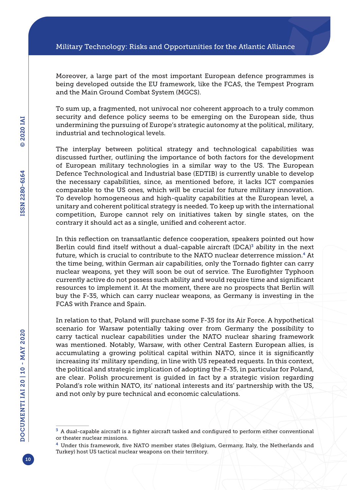Moreover, a large part of the most important European defence programmes is being developed outside the EU framework, like the FCAS, the Tempest Program and the Main Ground Combat System (MGCS).

To sum up, a fragmented, not univocal nor coherent approach to a truly common security and defence policy seems to be emerging on the European side, thus undermining the pursuing of Europe's strategic autonomy at the political, military, industrial and technological levels.

The interplay between political strategy and technological capabilities was discussed further, outlining the importance of both factors for the development of European military technologies in a similar way to the US. The European Defence Technological and Industrial base (EDTIB) is currently unable to develop the necessary capabilities, since, as mentioned before, it lacks ICT companies comparable to the US ones, which will be crucial for future military innovation. To develop homogeneous and high-quality capabilities at the European level, a unitary and coherent political strategy is needed. To keep up with the international competition, Europe cannot rely on initiatives taken by single states, on the contrary it should act as a single, unified and coherent actor.

In this reflection on transatlantic defence cooperation, speakers pointed out how Berlin could find itself without a dual-capable aircraft  $(DCA)^3$  ability in the next future, which is crucial to contribute to the NATO nuclear deterrence mission.4 At the time being, within German air capabilities, only the Tornado fighter can carry nuclear weapons, yet they will soon be out of service. The Eurofighter Typhoon currently active do not possess such ability and would require time and significant resources to implement it. At the moment, there are no prospects that Berlin will buy the F-35, which can carry nuclear weapons, as Germany is investing in the FCAS with France and Spain.

In relation to that, Poland will purchase some F-35 for its Air Force. A hypothetical scenario for Warsaw potentially taking over from Germany the possibility to carry tactical nuclear capabilities under the NATO nuclear sharing framework was mentioned. Notably, Warsaw, with other Central Eastern European allies, is accumulating a growing political capital within NATO, since it is significantly increasing its' military spending, in line with US repeated requests. In this context, the political and strategic implication of adopting the F-35, in particular for Poland, are clear. Polish procurement is guided in fact by a strategic vision regarding Poland's role within NATO, its' national interests and its' partnership with the US, and not only by pure technical and economic calculations.

 $3$  A dual-capable aircraft is a fighter aircraft tasked and configured to perform either conventional or theater nuclear missions.

<sup>4</sup> Under this framework, five NATO member states (Belgium, Germany, Italy, the Netherlands and Turkey) host US tactical nuclear weapons on their territory.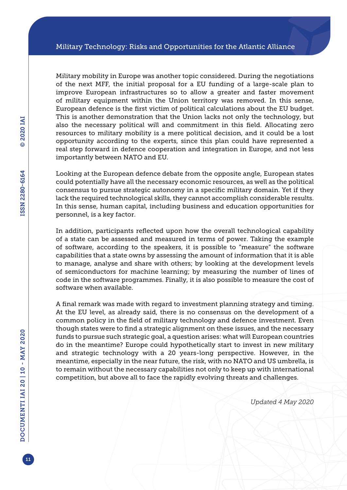Military mobility in Europe was another topic considered. During the negotiations of the next MFF, the initial proposal for a EU funding of a large-scale plan to improve European infrastructures so to allow a greater and faster movement of military equipment within the Union territory was removed. In this sense, European defence is the first victim of political calculations about the EU budget. This is another demonstration that the Union lacks not only the technology, but also the necessary political will and commitment in this field. Allocating zero resources to military mobility is a mere political decision, and it could be a lost opportunity according to the experts, since this plan could have represented a real step forward in defence cooperation and integration in Europe, and not less importantly between NATO and EU.

Looking at the European defence debate from the opposite angle, European states could potentially have all the necessary economic resources, as well as the political consensus to pursue strategic autonomy in a specific military domain. Yet if they lack the required technological skills, they cannot accomplish considerable results. In this sense, human capital, including business and education opportunities for personnel, is a key factor.

In addition, participants reflected upon how the overall technological capability of a state can be assessed and measured in terms of power. Taking the example of software, according to the speakers, it is possible to "measure" the software capabilities that a state owns by assessing the amount of information that it is able to manage, analyse and share with others; by looking at the development levels of semiconductors for machine learning; by measuring the number of lines of code in the software programmes. Finally, it is also possible to measure the cost of software when available.

A final remark was made with regard to investment planning strategy and timing. At the EU level, as already said, there is no consensus on the development of a common policy in the field of military technology and defence investment. Even though states were to find a strategic alignment on these issues, and the necessary funds to pursue such strategic goal, a question arises: what will European countries do in the meantime? Europe could hypothetically start to invest in new military and strategic technology with a 20 years-long perspective. However, in the meantime, especially in the near future, the risk, with no NATO and US umbrella, is to remain without the necessary capabilities not only to keep up with international competition, but above all to face the rapidly evolving threats and challenges.

*Updated 4 May 2020*